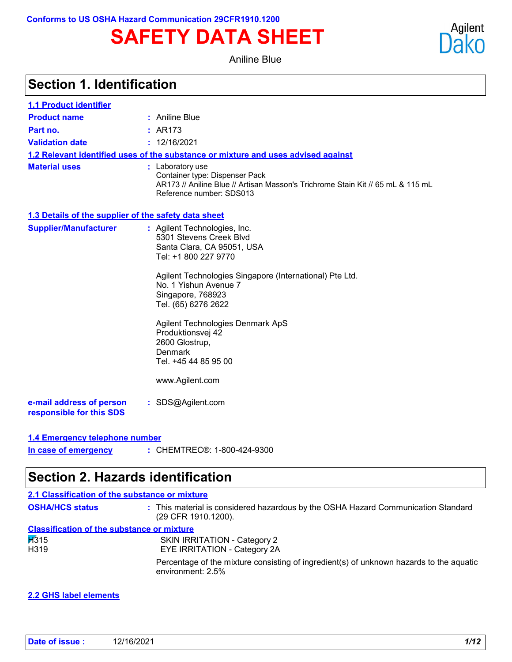# **SAFETY DATA SHEET**

Aniline Blue

| 1.1 Product identifier                               |                                                                                                                                                                                                                                                                                                                                                                                |
|------------------------------------------------------|--------------------------------------------------------------------------------------------------------------------------------------------------------------------------------------------------------------------------------------------------------------------------------------------------------------------------------------------------------------------------------|
| <b>Product name</b>                                  | : Aniline Blue                                                                                                                                                                                                                                                                                                                                                                 |
| Part no.                                             | : AR173                                                                                                                                                                                                                                                                                                                                                                        |
| <b>Validation date</b>                               | : 12/16/2021                                                                                                                                                                                                                                                                                                                                                                   |
|                                                      | 1.2 Relevant identified uses of the substance or mixture and uses advised against                                                                                                                                                                                                                                                                                              |
| <b>Material uses</b>                                 | : Laboratory use<br>Container type: Dispenser Pack<br>AR173 // Aniline Blue // Artisan Masson's Trichrome Stain Kit // 65 mL & 115 mL<br>Reference number: SDS013                                                                                                                                                                                                              |
| 1.3 Details of the supplier of the safety data sheet |                                                                                                                                                                                                                                                                                                                                                                                |
| <b>Supplier/Manufacturer</b>                         | : Agilent Technologies, Inc.<br>5301 Stevens Creek Blvd<br>Santa Clara, CA 95051, USA<br>Tel: +1 800 227 9770<br>Agilent Technologies Singapore (International) Pte Ltd.<br>No. 1 Yishun Avenue 7<br>Singapore, 768923<br>Tel. (65) 6276 2622<br>Agilent Technologies Denmark ApS<br>Produktionsvej 42<br>2600 Glostrup,<br>Denmark<br>Tel. +45 44 85 95 00<br>www.Agilent.com |
| e-mail address of person<br>responsible for this SDS | : SDS@Agilent.com                                                                                                                                                                                                                                                                                                                                                              |
| 1.4 Emergency telephone number                       |                                                                                                                                                                                                                                                                                                                                                                                |

CHEMTREC®: 1-800-424-9300 **: In case of emergency**

# **Section 2. Hazards identification**

| 2.1 Classification of the substance or mixture    |                                                                                                              |
|---------------------------------------------------|--------------------------------------------------------------------------------------------------------------|
| <b>OSHA/HCS status</b>                            | : This material is considered hazardous by the OSHA Hazard Communication Standard<br>(29 CFR 1910.1200).     |
| <b>Classification of the substance or mixture</b> |                                                                                                              |
| $\cancel{1315}$                                   | SKIN IRRITATION - Category 2                                                                                 |
| H319                                              | EYE IRRITATION - Category 2A                                                                                 |
|                                                   | Percentage of the mixture consisting of ingredient(s) of unknown hazards to the aquatic<br>environment: 2.5% |

#### **2.2 GHS label elements**

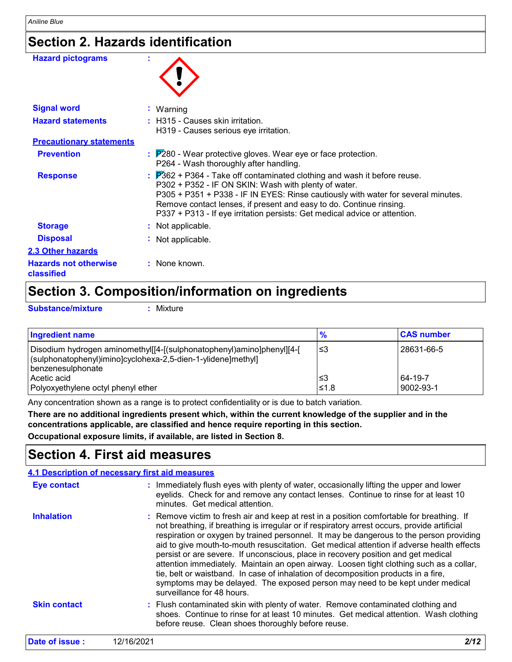# **Section 2. Hazards identification**

| <b>Hazard pictograms</b>                   |                                                                                                                                                                                                                                                                                                                                                                                                     |
|--------------------------------------------|-----------------------------------------------------------------------------------------------------------------------------------------------------------------------------------------------------------------------------------------------------------------------------------------------------------------------------------------------------------------------------------------------------|
| <b>Signal word</b>                         | $:$ Warning                                                                                                                                                                                                                                                                                                                                                                                         |
| <b>Hazard statements</b>                   | : H315 - Causes skin irritation.<br>H319 - Causes serious eye irritation.                                                                                                                                                                                                                                                                                                                           |
| <b>Precautionary statements</b>            |                                                                                                                                                                                                                                                                                                                                                                                                     |
| <b>Prevention</b>                          | $\frac{1}{2}$ $\overline{P}280$ - Wear protective gloves. Wear eye or face protection.<br>P264 - Wash thoroughly after handling.                                                                                                                                                                                                                                                                    |
| <b>Response</b>                            | $\frac{1}{2}$ $\overline{P}362$ + P364 - Take off contaminated clothing and wash it before reuse.<br>P302 + P352 - IF ON SKIN: Wash with plenty of water.<br>P305 + P351 + P338 - IF IN EYES: Rinse cautiously with water for several minutes.<br>Remove contact lenses, if present and easy to do. Continue rinsing.<br>P337 + P313 - If eye irritation persists: Get medical advice or attention. |
| <b>Storage</b>                             | : Not applicable.                                                                                                                                                                                                                                                                                                                                                                                   |
| <b>Disposal</b>                            | : Not applicable.                                                                                                                                                                                                                                                                                                                                                                                   |
| <b>2.3 Other hazards</b>                   |                                                                                                                                                                                                                                                                                                                                                                                                     |
| <b>Hazards not otherwise</b><br>classified | : None known.                                                                                                                                                                                                                                                                                                                                                                                       |

### **Section 3. Composition/information on ingredients**

**Substance/mixture :**

Mixture

| <b>Ingredient name</b>                                                                                                                                      | $\frac{9}{6}$ | <b>CAS number</b> |
|-------------------------------------------------------------------------------------------------------------------------------------------------------------|---------------|-------------------|
| Disodium hydrogen aminomethyl[[4-[(sulphonatophenyl)amino]phenyl][4-[<br>(sulphonatophenyl)imino]cyclohexa-2,5-dien-1-ylidene]methyl]<br>Ibenzenesulphonate | l≤3           | 28631-66-5        |
| Acetic acid                                                                                                                                                 | l≤3           | 64-19-7           |
| Polyoxyethylene octyl phenyl ether                                                                                                                          | 51.8          | 9002-93-1         |

Any concentration shown as a range is to protect confidentiality or is due to batch variation.

**There are no additional ingredients present which, within the current knowledge of the supplier and in the concentrations applicable, are classified and hence require reporting in this section.**

**Occupational exposure limits, if available, are listed in Section 8.**

### **Section 4. First aid measures**

| 4.1 Description of necessary first aid measures |                                                                                                                                                                                                                                                                                                                                                                                                                                                                                                                                                                                                                                                                                                                                                                        |  |  |
|-------------------------------------------------|------------------------------------------------------------------------------------------------------------------------------------------------------------------------------------------------------------------------------------------------------------------------------------------------------------------------------------------------------------------------------------------------------------------------------------------------------------------------------------------------------------------------------------------------------------------------------------------------------------------------------------------------------------------------------------------------------------------------------------------------------------------------|--|--|
| <b>Eye contact</b>                              | : Immediately flush eyes with plenty of water, occasionally lifting the upper and lower<br>eyelids. Check for and remove any contact lenses. Continue to rinse for at least 10<br>minutes. Get medical attention.                                                                                                                                                                                                                                                                                                                                                                                                                                                                                                                                                      |  |  |
| <b>Inhalation</b>                               | : Remove victim to fresh air and keep at rest in a position comfortable for breathing. If<br>not breathing, if breathing is irregular or if respiratory arrest occurs, provide artificial<br>respiration or oxygen by trained personnel. It may be dangerous to the person providing<br>aid to give mouth-to-mouth resuscitation. Get medical attention if adverse health effects<br>persist or are severe. If unconscious, place in recovery position and get medical<br>attention immediately. Maintain an open airway. Loosen tight clothing such as a collar,<br>tie, belt or waistband. In case of inhalation of decomposition products in a fire,<br>symptoms may be delayed. The exposed person may need to be kept under medical<br>surveillance for 48 hours. |  |  |
| <b>Skin contact</b>                             | : Flush contaminated skin with plenty of water. Remove contaminated clothing and<br>shoes. Continue to rinse for at least 10 minutes. Get medical attention. Wash clothing<br>before reuse. Clean shoes thoroughly before reuse.                                                                                                                                                                                                                                                                                                                                                                                                                                                                                                                                       |  |  |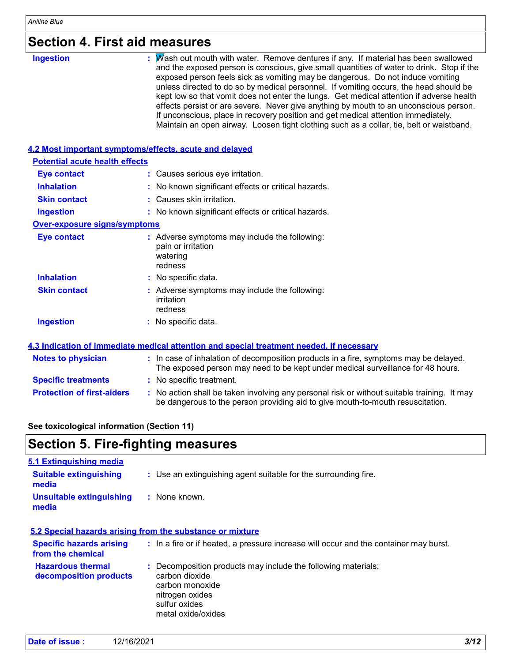# **Section 4. First aid measures**

| <b>Ingestion</b>                      | : Mash out mouth with water. Remove dentures if any. If material has been swallowed<br>and the exposed person is conscious, give small quantities of water to drink. Stop if the<br>exposed person feels sick as vomiting may be dangerous. Do not induce vomiting<br>unless directed to do so by medical personnel. If vomiting occurs, the head should be<br>kept low so that vomit does not enter the lungs. Get medical attention if adverse health<br>effects persist or are severe. Never give anything by mouth to an unconscious person.<br>If unconscious, place in recovery position and get medical attention immediately.<br>Maintain an open airway. Loosen tight clothing such as a collar, tie, belt or waistband. |
|---------------------------------------|-----------------------------------------------------------------------------------------------------------------------------------------------------------------------------------------------------------------------------------------------------------------------------------------------------------------------------------------------------------------------------------------------------------------------------------------------------------------------------------------------------------------------------------------------------------------------------------------------------------------------------------------------------------------------------------------------------------------------------------|
|                                       | 4.2 Most important symptoms/effects, acute and delayed                                                                                                                                                                                                                                                                                                                                                                                                                                                                                                                                                                                                                                                                            |
| <b>Potential acute health effects</b> |                                                                                                                                                                                                                                                                                                                                                                                                                                                                                                                                                                                                                                                                                                                                   |
| <b>Eye contact</b>                    | : Causes serious eye irritation.                                                                                                                                                                                                                                                                                                                                                                                                                                                                                                                                                                                                                                                                                                  |
| <b>Inhalation</b>                     | : No known significant effects or critical hazards.                                                                                                                                                                                                                                                                                                                                                                                                                                                                                                                                                                                                                                                                               |
| <b>Skin contact</b>                   | Causes skin irritation.                                                                                                                                                                                                                                                                                                                                                                                                                                                                                                                                                                                                                                                                                                           |
| <b>Ingestion</b>                      | : No known significant effects or critical hazards.                                                                                                                                                                                                                                                                                                                                                                                                                                                                                                                                                                                                                                                                               |
| <b>Over-exposure signs/symptoms</b>   |                                                                                                                                                                                                                                                                                                                                                                                                                                                                                                                                                                                                                                                                                                                                   |
| <b>Eye contact</b>                    | : Adverse symptoms may include the following:<br>pain or irritation<br>watering<br>redness                                                                                                                                                                                                                                                                                                                                                                                                                                                                                                                                                                                                                                        |
| <b>Inhalation</b>                     | : No specific data.                                                                                                                                                                                                                                                                                                                                                                                                                                                                                                                                                                                                                                                                                                               |
| <b>Skin contact</b>                   | : Adverse symptoms may include the following:<br>irritation<br>redness                                                                                                                                                                                                                                                                                                                                                                                                                                                                                                                                                                                                                                                            |
| <b>Ingestion</b>                      | : No specific data.                                                                                                                                                                                                                                                                                                                                                                                                                                                                                                                                                                                                                                                                                                               |
|                                       | 4.3 Indication of immediate medical attention and special treatment needed, if necessary                                                                                                                                                                                                                                                                                                                                                                                                                                                                                                                                                                                                                                          |
| <b>Notes to physician</b>             | : In case of inhalation of decomposition products in a fire, symptoms may be delayed.<br>The exposed person may need to be kept under medical surveillance for 48 hours.                                                                                                                                                                                                                                                                                                                                                                                                                                                                                                                                                          |
| <b>Specific treatments</b>            | : No specific treatment.                                                                                                                                                                                                                                                                                                                                                                                                                                                                                                                                                                                                                                                                                                          |
| <b>Protection of first-aiders</b>     | : No action shall be taken involving any personal risk or without suitable training. It may<br>be dangerous to the person providing aid to give mouth-to-mouth resuscitation.                                                                                                                                                                                                                                                                                                                                                                                                                                                                                                                                                     |

#### **See toxicological information (Section 11)**

# **Section 5. Fire-fighting measures**

| 5.1 Extinguishing media                              |                                                                                                                                                              |
|------------------------------------------------------|--------------------------------------------------------------------------------------------------------------------------------------------------------------|
| <b>Suitable extinguishing</b><br>media               | : Use an extinguishing agent suitable for the surrounding fire.                                                                                              |
| <b>Unsuitable extinguishing</b><br>media             | $:$ None known.                                                                                                                                              |
|                                                      | 5.2 Special hazards arising from the substance or mixture                                                                                                    |
| <b>Specific hazards arising</b><br>from the chemical | : In a fire or if heated, a pressure increase will occur and the container may burst.                                                                        |
| <b>Hazardous thermal</b><br>decomposition products   | : Decomposition products may include the following materials:<br>carbon dioxide<br>carbon monoxide<br>nitrogen oxides<br>sulfur oxides<br>metal oxide/oxides |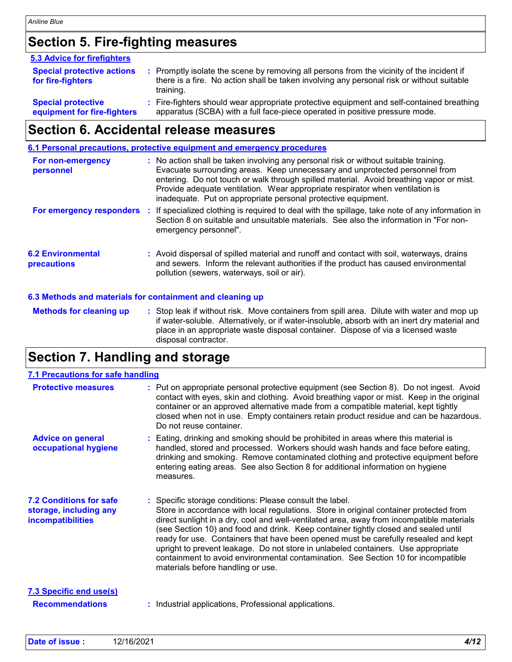# **Section 5. Fire-fighting measures**

| 5.3 Advice for firefighters                              |                                                                                                                                                                                                     |
|----------------------------------------------------------|-----------------------------------------------------------------------------------------------------------------------------------------------------------------------------------------------------|
| <b>Special protective actions</b><br>for fire-fighters   | : Promptly isolate the scene by removing all persons from the vicinity of the incident if<br>there is a fire. No action shall be taken involving any personal risk or without suitable<br>training. |
| <b>Special protective</b><br>equipment for fire-fighters | : Fire-fighters should wear appropriate protective equipment and self-contained breathing<br>apparatus (SCBA) with a full face-piece operated in positive pressure mode.                            |

### **Section 6. Accidental release measures**

|                                                           | 6.1 Personal precautions, protective equipment and emergency procedures                                                                                                                                                                                                                                                                                                                                          |  |
|-----------------------------------------------------------|------------------------------------------------------------------------------------------------------------------------------------------------------------------------------------------------------------------------------------------------------------------------------------------------------------------------------------------------------------------------------------------------------------------|--|
| For non-emergency<br>personnel                            | : No action shall be taken involving any personal risk or without suitable training.<br>Evacuate surrounding areas. Keep unnecessary and unprotected personnel from<br>entering. Do not touch or walk through spilled material. Avoid breathing vapor or mist.<br>Provide adequate ventilation. Wear appropriate respirator when ventilation is<br>inadequate. Put on appropriate personal protective equipment. |  |
| For emergency responders                                  | : If specialized clothing is required to deal with the spillage, take note of any information in<br>Section 8 on suitable and unsuitable materials. See also the information in "For non-<br>emergency personnel".                                                                                                                                                                                               |  |
| <b>6.2 Environmental</b><br>precautions                   | : Avoid dispersal of spilled material and runoff and contact with soil, waterways, drains<br>and sewers. Inform the relevant authorities if the product has caused environmental<br>pollution (sewers, waterways, soil or air).                                                                                                                                                                                  |  |
| 6.3 Methods and materials for containment and cleaning up |                                                                                                                                                                                                                                                                                                                                                                                                                  |  |
| <b>Methods for cleaning up</b>                            | : Stop leak if without risk. Move containers from spill area. Dilute with water and mop up<br>if water-soluble. Alternatively, or if water-insoluble, absorb with an inert dry material and                                                                                                                                                                                                                      |  |

place in an appropriate waste disposal container. Dispose of via a licensed waste

# **Section 7. Handling and storage**

disposal contractor.

| 7.1 Precautions for safe handling                                             |                                                                                                                                                                                                                                                                                                                                                                                                                                                                                                                                                                                                                                              |
|-------------------------------------------------------------------------------|----------------------------------------------------------------------------------------------------------------------------------------------------------------------------------------------------------------------------------------------------------------------------------------------------------------------------------------------------------------------------------------------------------------------------------------------------------------------------------------------------------------------------------------------------------------------------------------------------------------------------------------------|
| <b>Protective measures</b>                                                    | : Put on appropriate personal protective equipment (see Section 8). Do not ingest. Avoid<br>contact with eyes, skin and clothing. Avoid breathing vapor or mist. Keep in the original<br>container or an approved alternative made from a compatible material, kept tightly<br>closed when not in use. Empty containers retain product residue and can be hazardous.<br>Do not reuse container.                                                                                                                                                                                                                                              |
| <b>Advice on general</b><br>occupational hygiene                              | Eating, drinking and smoking should be prohibited in areas where this material is<br>handled, stored and processed. Workers should wash hands and face before eating,<br>drinking and smoking. Remove contaminated clothing and protective equipment before<br>entering eating areas. See also Section 8 for additional information on hygiene<br>measures.                                                                                                                                                                                                                                                                                  |
| <b>7.2 Conditions for safe</b><br>storage, including any<br>incompatibilities | : Specific storage conditions: Please consult the label.<br>Store in accordance with local regulations. Store in original container protected from<br>direct sunlight in a dry, cool and well-ventilated area, away from incompatible materials<br>(see Section 10) and food and drink. Keep container tightly closed and sealed until<br>ready for use. Containers that have been opened must be carefully resealed and kept<br>upright to prevent leakage. Do not store in unlabeled containers. Use appropriate<br>containment to avoid environmental contamination. See Section 10 for incompatible<br>materials before handling or use. |
| <b>7.3 Specific end use(s)</b><br><b>Recommendations</b>                      | Industrial applications, Professional applications.                                                                                                                                                                                                                                                                                                                                                                                                                                                                                                                                                                                          |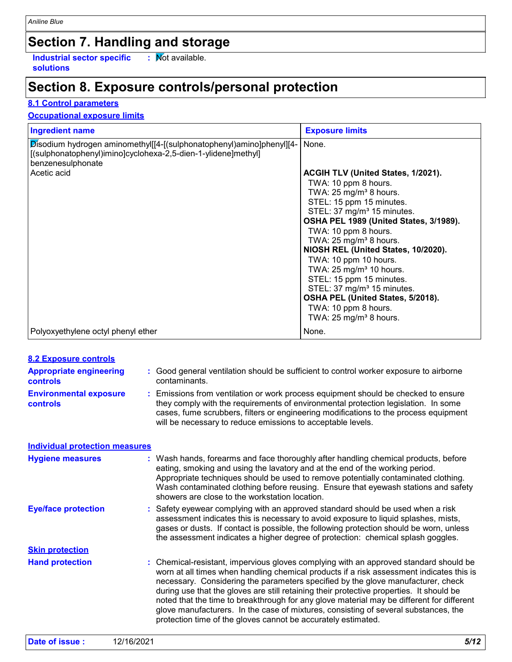# **Section 7. Handling and storage**

**Industrial sector specific : solutions**

 $\overline{\phantom{a}}$  : Mot available.

# **Section 8. Exposure controls/personal protection**

#### **8.1 Control parameters**

#### **Occupational exposure limits**

| <b>Ingredient name</b>                                                                                                                                                    | <b>Exposure limits</b>                                                                                                                                                                                                                                                                                          |
|---------------------------------------------------------------------------------------------------------------------------------------------------------------------------|-----------------------------------------------------------------------------------------------------------------------------------------------------------------------------------------------------------------------------------------------------------------------------------------------------------------|
| Disodium hydrogen aminomethyl[[4-[(sulphonatophenyl)amino]phenyl][4-<br>[(sulphonatophenyl)imino]cyclohexa-2,5-dien-1-ylidene]methyl]<br>benzenesulphonate<br>Acetic acid | None.<br>ACGIH TLV (United States, 1/2021).<br>TWA: 10 ppm 8 hours.<br>TWA: 25 mg/m <sup>3</sup> 8 hours.<br>STEL: 15 ppm 15 minutes.<br>STEL: 37 mg/m <sup>3</sup> 15 minutes.<br>OSHA PEL 1989 (United States, 3/1989).<br>TWA: 10 ppm 8 hours.                                                               |
|                                                                                                                                                                           | TWA: $25 \text{ mg/m}^3$ 8 hours.<br>NIOSH REL (United States, 10/2020).<br>TWA: 10 ppm 10 hours.<br>TWA: $25 \text{ mg/m}^3$ 10 hours.<br>STEL: 15 ppm 15 minutes.<br>STEL: 37 mg/m <sup>3</sup> 15 minutes.<br>OSHA PEL (United States, 5/2018).<br>TWA: 10 ppm 8 hours.<br>TWA: $25 \text{ mg/m}^3$ 8 hours. |
| Polyoxyethylene octyl phenyl ether                                                                                                                                        | None.                                                                                                                                                                                                                                                                                                           |

| <b>8.2 Exposure controls</b>               |                                                                                                                                                                                                                                                                                                                                                                                                                                                                                                                                                                                                                        |
|--------------------------------------------|------------------------------------------------------------------------------------------------------------------------------------------------------------------------------------------------------------------------------------------------------------------------------------------------------------------------------------------------------------------------------------------------------------------------------------------------------------------------------------------------------------------------------------------------------------------------------------------------------------------------|
| <b>Appropriate engineering</b><br>controls | Good general ventilation should be sufficient to control worker exposure to airborne<br>contaminants.                                                                                                                                                                                                                                                                                                                                                                                                                                                                                                                  |
| <b>Environmental exposure</b><br>controls  | Emissions from ventilation or work process equipment should be checked to ensure<br>they comply with the requirements of environmental protection legislation. In some<br>cases, fume scrubbers, filters or engineering modifications to the process equipment<br>will be necessary to reduce emissions to acceptable levels.                                                                                                                                                                                                                                                                                          |
| <b>Individual protection measures</b>      |                                                                                                                                                                                                                                                                                                                                                                                                                                                                                                                                                                                                                        |
| <b>Hygiene measures</b>                    | Wash hands, forearms and face thoroughly after handling chemical products, before<br>eating, smoking and using the lavatory and at the end of the working period.<br>Appropriate techniques should be used to remove potentially contaminated clothing.<br>Wash contaminated clothing before reusing. Ensure that eyewash stations and safety<br>showers are close to the workstation location.                                                                                                                                                                                                                        |
| <b>Eye/face protection</b>                 | Safety eyewear complying with an approved standard should be used when a risk<br>assessment indicates this is necessary to avoid exposure to liquid splashes, mists,<br>gases or dusts. If contact is possible, the following protection should be worn, unless<br>the assessment indicates a higher degree of protection: chemical splash goggles.                                                                                                                                                                                                                                                                    |
| <b>Skin protection</b>                     |                                                                                                                                                                                                                                                                                                                                                                                                                                                                                                                                                                                                                        |
| <b>Hand protection</b>                     | : Chemical-resistant, impervious gloves complying with an approved standard should be<br>worn at all times when handling chemical products if a risk assessment indicates this is<br>necessary. Considering the parameters specified by the glove manufacturer, check<br>during use that the gloves are still retaining their protective properties. It should be<br>noted that the time to breakthrough for any glove material may be different for different<br>glove manufacturers. In the case of mixtures, consisting of several substances, the<br>protection time of the gloves cannot be accurately estimated. |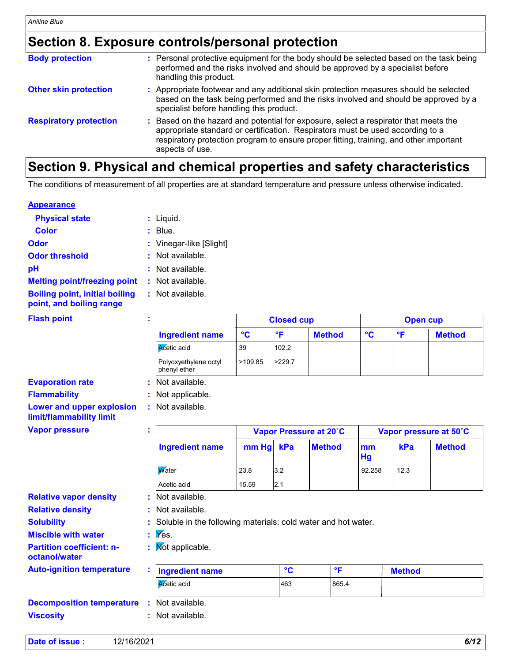### **Section 8. Exposure controls/personal protection**

| <b>Body protection</b>        | : Personal protective equipment for the body should be selected based on the task being<br>performed and the risks involved and should be approved by a specialist before<br>handling this product.                                                                               |
|-------------------------------|-----------------------------------------------------------------------------------------------------------------------------------------------------------------------------------------------------------------------------------------------------------------------------------|
| <b>Other skin protection</b>  | Appropriate footwear and any additional skin protection measures should be selected<br>based on the task being performed and the risks involved and should be approved by a<br>specialist before handling this product.                                                           |
| <b>Respiratory protection</b> | Based on the hazard and potential for exposure, select a respirator that meets the<br>appropriate standard or certification. Respirators must be used according to a<br>respiratory protection program to ensure proper fitting, training, and other important<br>aspects of use. |
|                               |                                                                                                                                                                                                                                                                                   |

### **Section 9. Physical and chemical properties and safety characteristics**

The conditions of measurement of all properties are at standard temperature and pressure unless otherwise indicated.

#### **Appearance**

| <b>Physical state</b>                                             | : Liquid.               |
|-------------------------------------------------------------------|-------------------------|
| <b>Color</b>                                                      | Blue.                   |
| Odor                                                              | : Vinegar-like [Slight] |
| <b>Odor threshold</b>                                             | : Not available.        |
| рH                                                                | : Not available.        |
| <b>Melting point/freezing point</b>                               | $:$ Not available.      |
| <b>Boiling point, initial boiling</b><br>point, and boiling range | $:$ Not available.      |
| <b>Flash point</b>                                                | ٠<br>٠                  |
|                                                                   | $\sim$                  |

|                                       | <b>Closed cup</b> |                        |               | Open cup |            |               |  |
|---------------------------------------|-------------------|------------------------|---------------|----------|------------|---------------|--|
| Ingredient name                       | °C                | $\circ$ $\blacksquare$ | <b>Method</b> | °C       | $^{\circ}$ | <b>Method</b> |  |
| <b>A</b> cetic acid                   | 39                | 102.2                  |               |          |            |               |  |
| Polyoxyethylene octyl<br>phenyl ether | >109.85           | > 229.7                |               |          |            |               |  |

**Evaporation rate Flammability :** Not applicable. **Lower and upper explosion limit/flammability limit**

**Vapor pressure**

|                                                               | Vapor Pressure at 20°C |     |               | Vapor pressure at 50°C |      |               |
|---------------------------------------------------------------|------------------------|-----|---------------|------------------------|------|---------------|
| <b>Ingredient name</b>                                        | mm Hg                  | kPa | <b>Method</b> | mm<br>Hg               | kPa  | <b>Method</b> |
| Water                                                         | 23.8                   | 3.2 |               | 92.258                 | 12.3 |               |
| Acetic acid                                                   | 15.59                  | 2.1 |               |                        |      |               |
| Not available.                                                |                        |     |               |                        |      |               |
| : Not available.                                              |                        |     |               |                        |      |               |
| Soluble in the following materials: cold water and hot water. |                        |     |               |                        |      |               |

**Miscible with water :** Yes.

**:**

- **Partition coefficient: n-**
- **octanol/water**

**Relative density**

**Solubility**

**Relative vapor density**

**Auto-ignition temperature**

| <b>Ingredient name</b> | $\sim$ | $^{\circ}$ | <b>Method</b> |
|------------------------|--------|------------|---------------|
| <b>A</b> cetic acid    | 463    | 865.4      |               |

| <b>Decomposition temperature</b> | : Not available. |
|----------------------------------|------------------|
| <b>Viscosity</b>                 | : Not available. |

| Date of issue: | 12/16/2021 | 6/12<br>D/ |
|----------------|------------|------------|
|                |            |            |

Not applicable. **:**

**:**

**:** Not available.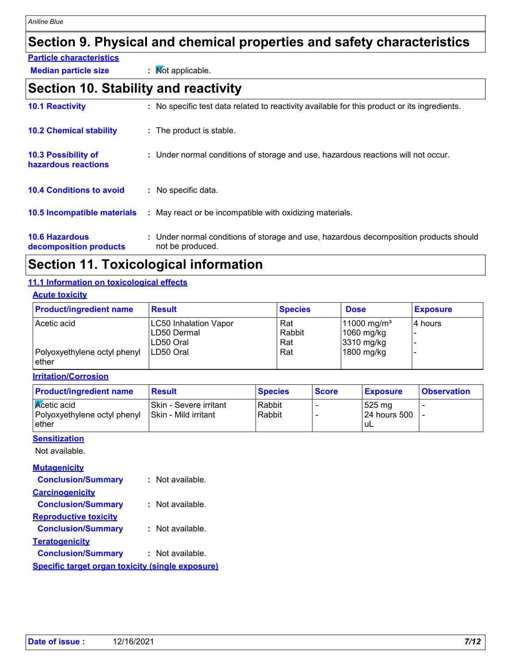# **Section 9. Physical and chemical properties and safety characteristics**

- **Particle characteristics**
- **Median particle size :** Not applicable.

# **Section 10. Stability and reactivity**

| <b>10.1 Reactivity</b>                          |    | : No specific test data related to reactivity available for this product or its ingredients.              |
|-------------------------------------------------|----|-----------------------------------------------------------------------------------------------------------|
| <b>10.2 Chemical stability</b>                  |    | : The product is stable.                                                                                  |
| 10.3 Possibility of<br>hazardous reactions      |    | : Under normal conditions of storage and use, hazardous reactions will not occur.                         |
| <b>10.4 Conditions to avoid</b>                 |    | : No specific data.                                                                                       |
| <b>10.5 Incompatible materials</b>              | ÷. | May react or be incompatible with oxidizing materials.                                                    |
| <b>10.6 Hazardous</b><br>decomposition products |    | : Under normal conditions of storage and use, hazardous decomposition products should<br>not be produced. |

# **Section 11. Toxicological information**

#### **11.1 Information on toxicological effects**

#### **Acute toxicity**

| <b>Product/ingredient name</b>        | <b>Result</b>                                            | <b>Species</b>       | <b>Dose</b>                                             | <b>Exposure</b> |
|---------------------------------------|----------------------------------------------------------|----------------------|---------------------------------------------------------|-----------------|
| Acetic acid                           | <b>LC50 Inhalation Vapor</b><br>LD50 Dermal<br>LD50 Oral | Rat<br>Rabbit<br>Rat | 11000 mg/m <sup>3</sup><br>$1060$ mg/kg<br>$3310$ mg/kg | I4 hours        |
| Polyoxyethylene octyl phenyl<br>ether | LD50 Oral                                                | Rat                  | 1800 mg/kg                                              |                 |

#### **Irritation/Corrosion**

| <b>Product/ingredient name</b>                                        | <b>Result</b>                                   | <b>Species</b>   | <b>Score</b> | <b>Exposure</b>                         | <b>Observation</b> |
|-----------------------------------------------------------------------|-------------------------------------------------|------------------|--------------|-----------------------------------------|--------------------|
| <b>K</b> cetic acid<br>Polyoxyethylene octyl phenyl<br><b>l</b> ether | ISkin - Severe irritant<br>Skin - Mild irritant | Rabbit<br>Rabbit |              | l 525 ma<br><b>24 hours 500</b><br>' uL |                    |

#### **Sensitization**

Not available.

#### **Mutagenicity**

| <b>Conclusion/Summary</b>                               | : Not available.   |
|---------------------------------------------------------|--------------------|
| <b>Carcinogenicity</b>                                  |                    |
| <b>Conclusion/Summary</b>                               | $:$ Not available. |
| <b>Reproductive toxicity</b>                            |                    |
| <b>Conclusion/Summary</b>                               | : Not available.   |
| <b>Teratogenicity</b>                                   |                    |
| <b>Conclusion/Summary</b>                               | : Not available.   |
| <b>Specific target organ toxicity (single exposure)</b> |                    |
|                                                         |                    |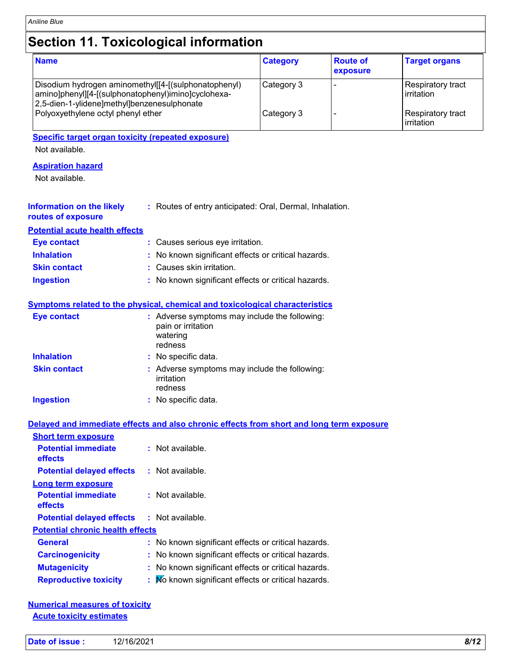# **Section 11. Toxicological information**

| <b>Name</b>                                                                                                                                                  | <b>Category</b> | <b>Route of</b><br>exposure | <b>Target organs</b>              |
|--------------------------------------------------------------------------------------------------------------------------------------------------------------|-----------------|-----------------------------|-----------------------------------|
| Disodium hydrogen aminomethyl[[4-[(sulphonatophenyl)<br> amino]phenyl][4-[(sulphonatophenyl)imino]cyclohexa-<br> 2,5-dien-1-ylidene]methyl]benzenesulphonate | Category 3      |                             | Respiratory tract<br>l irritation |
| Polyoxyethylene octyl phenyl ether                                                                                                                           | Category 3      |                             | Respiratory tract<br>irritation   |

**Specific target organ toxicity (repeated exposure)**

Not available.

#### **Aspiration hazard**

Not available.

| Information on the likely | : Routes of entry anticipated: Oral, Dermal, Inhalation. |
|---------------------------|----------------------------------------------------------|
| routes of exposure        |                                                          |

**Potential acute health effects**

| <b>Eve contact</b>  | : Causes serious eye irritation.                    |
|---------------------|-----------------------------------------------------|
| <b>Inhalation</b>   | : No known significant effects or critical hazards. |
| <b>Skin contact</b> | : Causes skin irritation.                           |
| Ingestion           | : No known significant effects or critical hazards. |

#### **Symptoms related to the physical, chemical and toxicological characteristics**

| <b>Eye contact</b>  | : Adverse symptoms may include the following:<br>pain or irritation<br>watering<br>redness |
|---------------------|--------------------------------------------------------------------------------------------|
| <b>Inhalation</b>   | : No specific data.                                                                        |
| <b>Skin contact</b> | : Adverse symptoms may include the following:<br>irritation<br>redness                     |
| <b>Ingestion</b>    | : No specific data.                                                                        |

#### **Delayed and immediate effects and also chronic effects from short and long term exposure**

| <b>Short term exposure</b>              |                                                     |
|-----------------------------------------|-----------------------------------------------------|
| <b>Potential immediate</b><br>effects   | $:$ Not available.                                  |
| <b>Potential delayed effects</b>        | : Not available.                                    |
| Long term exposure                      |                                                     |
| <b>Potential immediate</b><br>effects   | : Not available.                                    |
| <b>Potential delayed effects</b>        | : Not available.                                    |
| <b>Potential chronic health effects</b> |                                                     |
| <b>General</b>                          | : No known significant effects or critical hazards. |
| <b>Carcinogenicity</b>                  | : No known significant effects or critical hazards. |
| <b>Mutagenicity</b>                     | : No known significant effects or critical hazards. |
| <b>Reproductive toxicity</b>            | : No known significant effects or critical hazards. |

#### **Numerical measures of toxicity Acute toxicity estimates**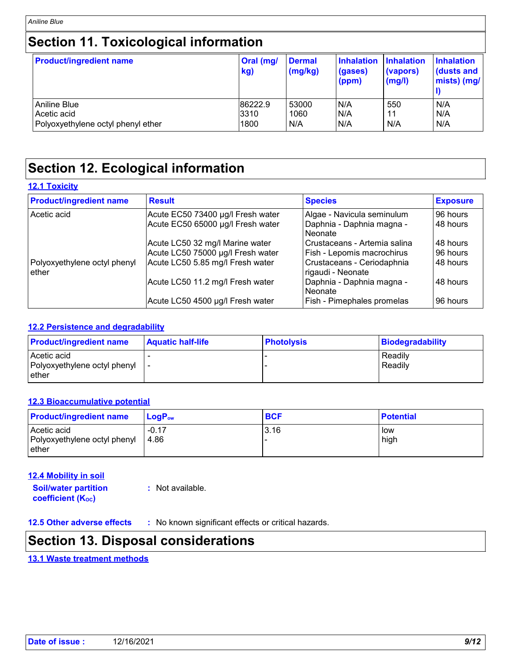# **Section 11. Toxicological information**

| <b>Product/ingredient name</b>     | Oral (mg/<br>kg) | <b>Dermal</b><br>(mg/kg) | <b>Inhalation</b><br>(gases)<br>$\mathsf{(ppm)}$ | <b>Inhalation</b><br>(vapors)<br>$\mathsf{mgl}()$ | <b>Inhalation</b><br>dusts and<br>mists) (mg/ |
|------------------------------------|------------------|--------------------------|--------------------------------------------------|---------------------------------------------------|-----------------------------------------------|
| Aniline Blue                       | 86222.9          | 53000                    | N/A                                              | 550                                               | N/A                                           |
| Acetic acid                        | 3310             | 1060                     | N/A                                              | 11                                                | N/A                                           |
| Polyoxyethylene octyl phenyl ether | 1800             | N/A                      | N/A                                              | N/A                                               | N/A                                           |

# **Section 12. Ecological information**

#### **12.1 Toxicity**

| <b>Product/ingredient name</b>        | <b>Result</b>                     | <b>Species</b>                                  | <b>Exposure</b> |
|---------------------------------------|-----------------------------------|-------------------------------------------------|-----------------|
| Acetic acid                           | Acute EC50 73400 µg/l Fresh water | Algae - Navicula seminulum                      | 96 hours        |
|                                       | Acute EC50 65000 µg/l Fresh water | Daphnia - Daphnia magna -<br>Neonate            | 48 hours        |
|                                       | Acute LC50 32 mg/l Marine water   | Crustaceans - Artemia salina                    | 48 hours        |
|                                       | Acute LC50 75000 µg/l Fresh water | Fish - Lepomis macrochirus                      | 96 hours        |
| Polyoxyethylene octyl phenyl<br>ether | Acute LC50 5.85 mg/l Fresh water  | Crustaceans - Ceriodaphnia<br>rigaudi - Neonate | 48 hours        |
|                                       | Acute LC50 11.2 mg/l Fresh water  | Daphnia - Daphnia magna -<br>Neonate            | 48 hours        |
|                                       | Acute LC50 4500 µg/l Fresh water  | Fish - Pimephales promelas                      | 96 hours        |

#### **12.2 Persistence and degradability**

| <b>Product/ingredient name</b> | <b>Aquatic half-life</b> | <b>Photolysis</b> | Biodegradability |
|--------------------------------|--------------------------|-------------------|------------------|
| Acetic acid                    |                          |                   | Readily          |
| Polyoxyethylene octyl phenyl   |                          |                   | Readily          |
| ether                          |                          |                   |                  |

#### **12.3 Bioaccumulative potential**

| <b>Product/ingredient name</b>                       | ⊺LoɑP <sub>ow</sub> | <b>BCF</b> | <b>Potential</b> |
|------------------------------------------------------|---------------------|------------|------------------|
| Acetic acid<br>Polyoxyethylene octyl phenyl<br>ether | $-0.17$<br>4.86     | 3.16       | low<br>high      |

#### **12.4 Mobility in soil**

**Soil/water partition coefficient (KOC) :** Not available.

**12.5 Other adverse effects :** No known significant effects or critical hazards.

### **Section 13. Disposal considerations**

#### **13.1 Waste treatment methods**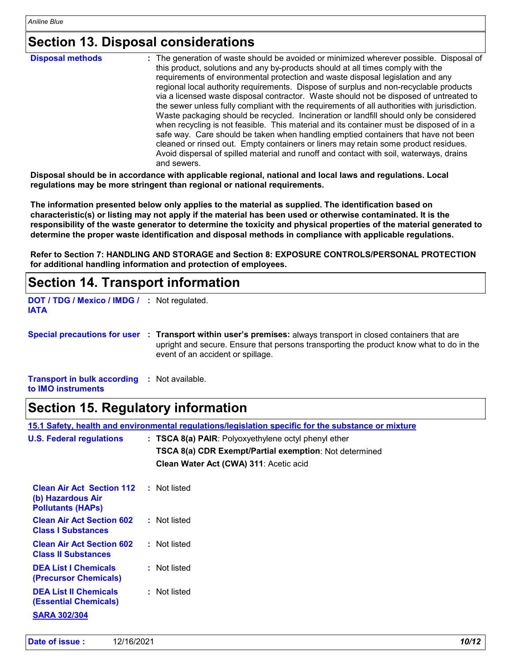# **Section 13. Disposal considerations**

| <b>Disposal methods</b> | : The generation of waste should be avoided or minimized wherever possible. Disposal of<br>this product, solutions and any by-products should at all times comply with the<br>requirements of environmental protection and waste disposal legislation and any<br>regional local authority requirements. Dispose of surplus and non-recyclable products<br>via a licensed waste disposal contractor. Waste should not be disposed of untreated to<br>the sewer unless fully compliant with the requirements of all authorities with jurisdiction.<br>Waste packaging should be recycled. Incineration or landfill should only be considered<br>when recycling is not feasible. This material and its container must be disposed of in a<br>safe way. Care should be taken when handling emptied containers that have not been<br>cleaned or rinsed out. Empty containers or liners may retain some product residues. |
|-------------------------|---------------------------------------------------------------------------------------------------------------------------------------------------------------------------------------------------------------------------------------------------------------------------------------------------------------------------------------------------------------------------------------------------------------------------------------------------------------------------------------------------------------------------------------------------------------------------------------------------------------------------------------------------------------------------------------------------------------------------------------------------------------------------------------------------------------------------------------------------------------------------------------------------------------------|
|                         | Avoid dispersal of spilled material and runoff and contact with soil, waterways, drains<br>and sewers.                                                                                                                                                                                                                                                                                                                                                                                                                                                                                                                                                                                                                                                                                                                                                                                                              |

**Disposal should be in accordance with applicable regional, national and local laws and regulations. Local regulations may be more stringent than regional or national requirements.**

**The information presented below only applies to the material as supplied. The identification based on characteristic(s) or listing may not apply if the material has been used or otherwise contaminated. It is the responsibility of the waste generator to determine the toxicity and physical properties of the material generated to determine the proper waste identification and disposal methods in compliance with applicable regulations.**

**Refer to Section 7: HANDLING AND STORAGE and Section 8: EXPOSURE CONTROLS/PERSONAL PROTECTION for additional handling information and protection of employees.**

### **Section 14. Transport information**

```
DOT / TDG / Mexico / IMDG /
: Not regulated.
IATA
```
**Special precautions for user Transport within user's premises:** always transport in closed containers that are **:** upright and secure. Ensure that persons transporting the product know what to do in the event of an accident or spillage.

**Transport in bulk according :** Not available. **to IMO instruments**

### **Section 15. Regulatory information**

| <b>U.S. Federal regulations</b>                                                     | $:$ TSCA 8(a) PAIR: Polyoxyethylene octyl phenyl ether<br>TSCA 8(a) CDR Exempt/Partial exemption: Not determined<br>Clean Water Act (CWA) 311: Acetic acid |  |
|-------------------------------------------------------------------------------------|------------------------------------------------------------------------------------------------------------------------------------------------------------|--|
| <b>Clean Air Act Section 112</b><br>(b) Hazardous Air<br><b>Pollutants (HAPS)</b>   | : Not listed                                                                                                                                               |  |
| <b>Clean Air Act Section 602</b><br><b>Class I Substances</b>                       | : Not listed                                                                                                                                               |  |
| <b>Clean Air Act Section 602</b><br><b>Class II Substances</b>                      | : Not listed                                                                                                                                               |  |
| <b>DEA List I Chemicals</b><br>(Precursor Chemicals)                                | : Not listed                                                                                                                                               |  |
| <b>DEA List II Chemicals</b><br><b>(Essential Chemicals)</b><br><b>SARA 302/304</b> | : Not listed                                                                                                                                               |  |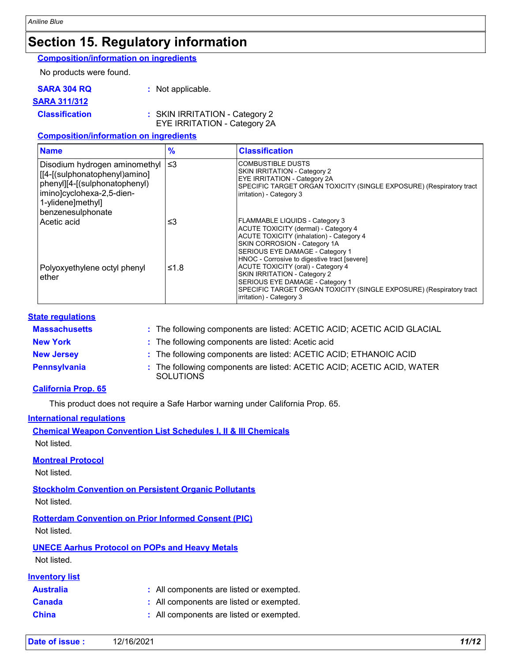### **Section 15. Regulatory information**

**Composition/information on ingredients**

No products were found.

| <b>SARA 304 RQ</b> | : Not applicable. |
|--------------------|-------------------|
|--------------------|-------------------|

#### **SARA 311/312**

**Classification :** SKIN IRRITATION - Category 2

EYE IRRITATION - Category 2A

#### **Composition/information on ingredients**

| <b>Name</b>                                                                                                                                                            | $\frac{9}{6}$ | <b>Classification</b>                                                                                                                                                                                                                 |
|------------------------------------------------------------------------------------------------------------------------------------------------------------------------|---------------|---------------------------------------------------------------------------------------------------------------------------------------------------------------------------------------------------------------------------------------|
| Disodium hydrogen aminomethyl<br>[[4-[(sulphonatophenyl)amino]<br>phenyl][4-[(sulphonatophenyl)<br>imino]cyclohexa-2,5-dien-<br>1-ylidene]methyl]<br>benzenesulphonate | ∣≤3           | <b>COMBUSTIBLE DUSTS</b><br>SKIN IRRITATION - Category 2<br><b>EYE IRRITATION - Category 2A</b><br>SPECIFIC TARGET ORGAN TOXICITY (SINGLE EXPOSURE) (Respiratory tract<br>irritation) - Category 3                                    |
| Acetic acid                                                                                                                                                            | ≤3            | FLAMMABLE LIQUIDS - Category 3<br>ACUTE TOXICITY (dermal) - Category 4<br>ACUTE TOXICITY (inhalation) - Category 4<br>SKIN CORROSION - Category 1A<br>SERIOUS EYE DAMAGE - Category 1<br>HNOC - Corrosive to digestive tract [severe] |
| Polyoxyethylene octyl phenyl<br>ether                                                                                                                                  | ≤1.8          | <b>ACUTE TOXICITY (oral) - Category 4</b><br><b>SKIN IRRITATION - Category 2</b><br>SERIOUS EYE DAMAGE - Category 1<br>SPECIFIC TARGET ORGAN TOXICITY (SINGLE EXPOSURE) (Respiratory tract<br>irritation) - Category 3                |

#### **State regulations**

| <b>Massachusetts</b> | : The following components are listed: ACETIC ACID; ACETIC ACID GLACIAL                    |
|----------------------|--------------------------------------------------------------------------------------------|
| <b>New York</b>      | : The following components are listed: Acetic acid                                         |
| <b>New Jersey</b>    | : The following components are listed: ACETIC ACID; ETHANOIC ACID                          |
| Pennsylvania         | : The following components are listed: ACETIC ACID; ACETIC ACID, WATER<br><b>SOLUTIONS</b> |

#### **California Prop. 65**

This product does not require a Safe Harbor warning under California Prop. 65.

#### **International regulations**

| <b>Chemical Weapon Convention List Schedules I, II &amp; III Chemicals</b> |  |
|----------------------------------------------------------------------------|--|
| Not listed.                                                                |  |

#### **Montreal Protocol**

Not listed.

**Stockholm Convention on Persistent Organic Pollutants** Not listed.

**Rotterdam Convention on Prior Informed Consent (PIC)** Not listed.

**UNECE Aarhus Protocol on POPs and Heavy Metals** Not listed.

#### **Inventory list**

| <b>Australia</b> | : All components are listed or exempted. |
|------------------|------------------------------------------|
| <b>Canada</b>    | : All components are listed or exempted. |
| <b>China</b>     | : All components are listed or exempted. |